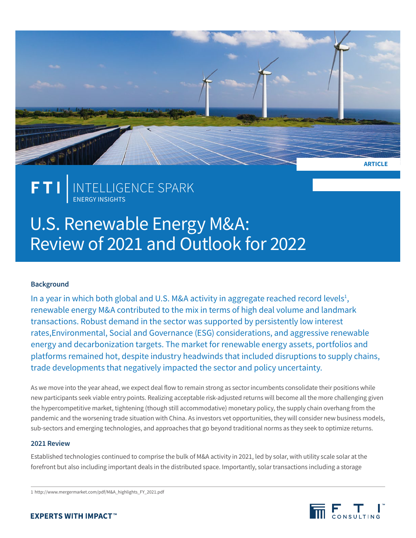

## INTELLIGENCE SPARK ENERGY INSIGHTS

# U.S. Renewable Energy M&A: Review of 2021 and Outlook for 2022

### **Background**

In a year in which both global and U.S. M&A activity in aggregate reached record levels<sup>1</sup>, renewable energy M&A contributed to the mix in terms of high deal volume and landmark transactions. Robust demand in the sector was supported by persistently low interest rates,Environmental, Social and Governance (ESG) considerations, and aggressive renewable energy and decarbonization targets. The market for renewable energy assets, portfolios and platforms remained hot, despite industry headwinds that included disruptions to supply chains, trade developments that negatively impacted the sector and policy uncertainty.

As we move into the year ahead, we expect deal flow to remain strong as sector incumbents consolidate their positions while new participants seek viable entry points. Realizing acceptable risk-adjusted returns will become all the more challenging given the hypercompetitive market, tightening (though still accommodative) monetary policy, the supply chain overhang from the pandemic and the worsening trade situation with China. As investors vet opportunities, they will consider new business models, sub-sectors and emerging technologies, and approaches that go beyond traditional norms as they seek to optimize returns.

### **2021 Review**

Established technologies continued to comprise the bulk of M&A activity in 2021, led by solar, with utility scale solar at the forefront but also including important deals in the distributed space. Importantly, solar transactions including a storage

1 http://www.mergermarket.com/pdf/M&A\_highlights\_FY\_2021.pdf



### **EXPERTS WITH IMPACT™**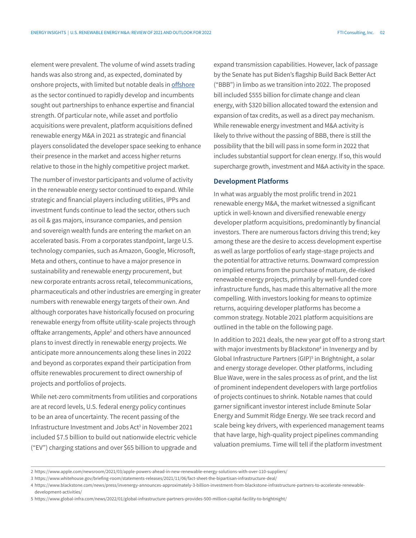element were prevalent. The volume of wind assets trading hands was also strong and, as expected, dominated by onshore projects, with limited but notable deals in [offshore](https://www.fticonsulting.com/insights/articles/partnerships-sea-developing-story-us-offshore-wind-market) as the sector continued to rapidly develop and incumbents sought out partnerships to enhance expertise and financial strength. Of particular note, while asset and portfolio acquisitions were prevalent, platform acquisitions defined renewable energy M&A in 2021 as strategic and financial players consolidated the developer space seeking to enhance their presence in the market and access higher returns relative to those in the highly competitive project market.

The number of investor participants and volume of activity in the renewable energy sector continued to expand. While strategic and financial players including utilities, IPPs and investment funds continue to lead the sector, others such as oil & gas majors, insurance companies, and pension and sovereign wealth funds are entering the market on an accelerated basis. From a corporates standpoint, large U.S. technology companies, such as Amazon, Google, Microsoft, Meta and others, continue to have a major presence in sustainability and renewable energy procurement, but new corporate entrants across retail, telecommunications, pharmaceuticals and other industries are emerging in greater numbers with renewable energy targets of their own. And although corporates have historically focused on procuring renewable energy from offsite utility-scale projects through offtake arrangements, Apple<sup>2</sup> and others have announced plans to invest directly in renewable energy projects. We anticipate more announcements along these lines in 2022 and beyond as corporates expand their participation from offsite renewables procurement to direct ownership of projects and portfolios of projects.

While net-zero commitments from utilities and corporations are at record levels, U.S. federal energy policy continues to be an area of uncertainty. The recent passing of the Infrastructure Investment and Jobs Act<sup>3</sup> in November 2021 included \$7.5 billion to build out nationwide electric vehicle ("EV") charging stations and over \$65 billion to upgrade and

expand transmission capabilities. However, lack of passage by the Senate has put Biden's flagship Build Back Better Act ("BBB") in limbo as we transition into 2022. The proposed bill included \$555 billion for climate change and clean energy, with \$320 billion allocated toward the extension and expansion of tax credits, as well as a direct pay mechanism. While renewable energy investment and M&A activity is likely to thrive without the passing of BBB, there is still the possibility that the bill will pass in some form in 2022 that includes substantial support for clean energy. If so, this would supercharge growth, investment and M&A activity in the space.

### **Development Platforms**

In what was arguably the most prolific trend in 2021 renewable energy M&A, the market witnessed a significant uptick in well-known and diversified renewable energy developer platform acquisitions, predominantly by financial investors. There are numerous factors driving this trend; key among these are the desire to access development expertise as well as large portfolios of early stage-stage projects and the potential for attractive returns. Downward compression on implied returns from the purchase of mature, de-risked renewable energy projects, primarily by well-funded core infrastructure funds, has made this alternative all the more compelling. With investors looking for means to optimize returns, acquiring developer platforms has become a common strategy. Notable 2021 platform acquisitions are outlined in the table on the following page.

In addition to 2021 deals, the new year got off to a strong start with major investments by Blackstone<sup>4</sup> in Invenergy and by Global Infrastructure Partners (GIP)<sup>5</sup> in Brightnight, a solar and energy storage developer. Other platforms, including Blue Wave, were in the sales process as of print, and the list of prominent independent developers with large portfolios of projects continues to shrink. Notable names that could garner significant investor interest include 8minute Solar Energy and Summit Ridge Energy. We see track record and scale being key drivers, with experienced management teams that have large, high-quality project pipelines commanding valuation premiums. Time will tell if the platform investment

<sup>2</sup> https://www.apple.com/newsroom/2021/03/apple-powers-ahead-in-new-renewable-energy-solutions-with-over-110-suppliers/

<sup>3</sup> https://www.whitehouse.gov/briefing-room/statements-releases/2021/11/06/fact-sheet-the-bipartisan-infrastructure-deal/

<sup>4</sup> https://www.blackstone.com/news/press/invenergy-announces-approximately-3-billion-investment-from-blackstone-infrastructure-partners-to-accelerate-renewabledevelopment-activities/

<sup>5</sup> https://www.global-infra.com/news/2022/01/global-infrastructure-partners-provides-500-million-capital-facility-to-brightnight/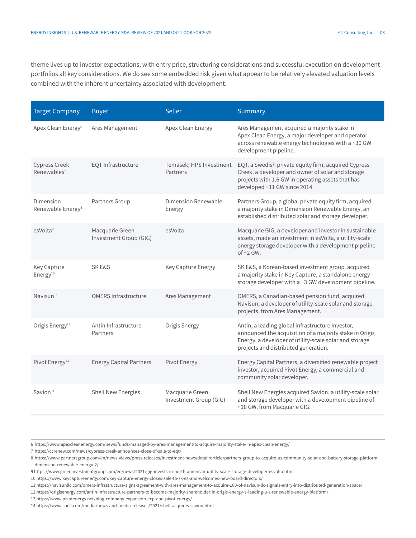theme lives up to investor expectations, with entry price, structuring considerations and successful execution on development portfolios all key considerations. We do see some embedded risk given what appear to be relatively elevated valuation levels combined with the inherent uncertainty associated with development.

| <b>Target Company</b>                      | <b>Buyer</b>                              | Seller                                    | Summary                                                                                                                                                                                                       |
|--------------------------------------------|-------------------------------------------|-------------------------------------------|---------------------------------------------------------------------------------------------------------------------------------------------------------------------------------------------------------------|
| Apex Clean Energy <sup>6</sup>             | Ares Management                           | Apex Clean Energy                         | Ares Management acquired a majority stake in<br>Apex Clean Energy, a major developer and operator<br>across renewable energy technologies with a ~30 GW<br>development pipeline.                              |
| Cypress Creek<br>Renewables <sup>7</sup>   | EQT Infrastructure                        | Temasek; HPS Investment<br>Partners       | EQT, a Swedish private equity firm, acquired Cypress<br>Creek, a developer and owner of solar and storage<br>projects with 1.6 GW in operating assets that has<br>developed ~11 GW since 2014.                |
| Dimension<br>Renewable Energy <sup>8</sup> | Partners Group                            | Dimension Renewable<br>Energy             | Partners Group, a global private equity firm, acquired<br>a majority stake in Dimension Renewable Energy, an<br>established distributed solar and storage developer.                                          |
| esVolta <sup>9</sup>                       | Macquarie Green<br>Investment Group (GIG) | esVolta                                   | Macquarie GIG, a developer and investor in sustainable<br>assets, made an investment in esVolta, a utility-scale<br>energy storage developer with a development pipeline<br>of $\sim$ 2 GW.                   |
| Key Capture<br>Energy <sup>10</sup>        | <b>SKE&amp;S</b>                          | Key Capture Energy                        | SK E&S, a Korean-based investment group, acquired<br>a majority stake in Key Capture, a standalone energy<br>storage developer with a ~3 GW development pipeline.                                             |
| Navisun <sup>11</sup>                      | <b>OMERS Infrastructure</b>               | Ares Management                           | OMERS, a Canadian-based pension fund, acquired<br>Navisun, a developer of utility-scale solar and storage<br>projects, from Ares Management.                                                                  |
| Origis Energy <sup>12</sup>                | Antin Infrastructure<br>Partners          | Origis Energy                             | Antin, a leading global infrastructure investor,<br>announced the acquisition of a majority stake in Origis<br>Energy, a developer of utility-scale solar and storage<br>projects and distributed generation. |
| Pivot Energy <sup>13</sup>                 | <b>Energy Capital Partners</b>            | Pivot Energy                              | Energy Capital Partners, a diversified renewable project<br>investor, acquired Pivot Energy, a commercial and<br>community solar developer.                                                                   |
| Savion <sup>14</sup>                       | <b>Shell New Energies</b>                 | Macquarie Green<br>Investment Group (GIG) | Shell New Energies acquired Savion, a utility-scale solar<br>and storage developer with a development pipeline of<br>~18 GW, from Macquarie GIG.                                                              |

6 https://www.apexcleanenergy.com/news/funds-managed-by-ares-management-to-acquire-majority-stake-in-apex-clean-energy/

7 https://ccrenew.com/news/cypress-creek-announces-close-of-sale-to-eqt/

10 https://www.keycaptureenergy.com/key-capture-energy-closes-sale-to-sk-es-and-welcomes-new-board-directors/

14 https://www.shell.com/media/news-and-media-releases/2021/shell-acquires-savion.html

<sup>8</sup> https://www.partnersgroup.com/en/news-views/press-releases/investment-news/detail/article/partners-group-to-acquire-us-community-solar-and-battery-storage-platformdimension-renewable-energy-2/

<sup>9</sup> https://www.greeninvestmentgroup.com/en/news/2021/gig-invests-in-north-american-utility-scale-storage-developer-esvolta.html

<sup>11</sup> https://navisunllc.com/omers-infrastructure-signs-agreement-with-ares-management-to-acquire-100-of-navisun-llc-signals-entry-into-distributed-generation-space/

<sup>12</sup> https://origisenergy.com/antin-infrastructure-partners-to-become-majority-shareholder-in-origis-energy-a-leading-u-s-renewable-energy-platform/

<sup>13</sup> https://www.pivotenergy.net/blog-company-expansion-ecp-and-pivot-energy/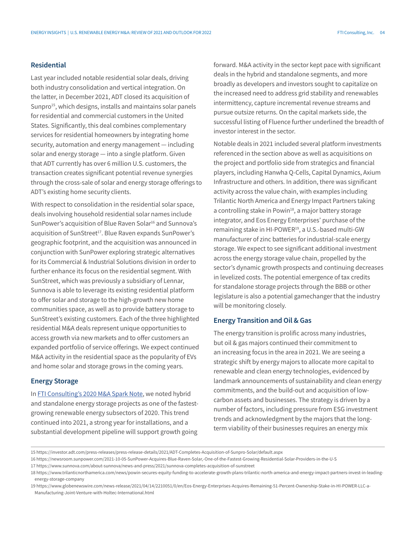### **Residential**

Last year included notable residential solar deals, driving both industry consolidation and vertical integration. On the latter, in December 2021, ADT closed its acquisition of Sunpro<sup>15</sup>, which designs, installs and maintains solar panels for residential and commercial customers in the United States. Significantly, this deal combines complementary services for residential homeowners by integrating home security, automation and energy management — including solar and energy storage — into a single platform. Given that ADT currently has over 6 million U.S. customers, the transaction creates significant potential revenue synergies through the cross-sale of solar and energy storage offerings to ADT's existing home security clients.

With respect to consolidation in the residential solar space, deals involving household residential solar names include SunPower's acquisition of Blue Raven Solar<sup>16</sup> and Sunnova's acquisition of SunStreet<sup>17</sup>. Blue Raven expands SunPower's geographic footprint, and the acquisition was announced in conjunction with SunPower exploring strategic alternatives for its Commercial & Industrial Solutions division in order to further enhance its focus on the residential segment. With SunStreet, which was previously a subsidiary of Lennar, Sunnova is able to leverage its existing residential platform to offer solar and storage to the high-growth new home communities space, as well as to provide battery storage to SunStreet's existing customers. Each of the three highlighted residential M&A deals represent unique opportunities to access growth via new markets and to offer customers an expanded portfolio of service offerings. We expect continued M&A activity in the residential space as the popularity of EVs and home solar and storage grows in the coming years.

### **Energy Storage**

In [FTI Consulting's 2020 M&A Spark Note](https://www.fticonsulting.com/-/media/files/us-files/insights/articles/2021/jun/covid-19-us-renewables-ma-review-2020-outlook-2021.pdf?rev=58dbe76e822e4e23aaaff26e51222a8f&hash=2E2BB2053B7FB36EF79D6C566F9D2CBE), we noted hybrid and standalone energy storage projects as one of the fastestgrowing renewable energy subsectors of 2020. This trend continued into 2021, a strong year for installations, and a substantial development pipeline will support growth going

forward. M&A activity in the sector kept pace with significant deals in the hybrid and standalone segments, and more broadly as developers and investors sought to capitalize on the increased need to address grid stability and renewables intermittency, capture incremental revenue streams and pursue outsize returns. On the capital markets side, the successful listing of Fluence further underlined the breadth of investor interest in the sector.

Notable deals in 2021 included several platform investments referenced in the section above as well as acquisitions on the project and portfolio side from strategics and financial players, including Hanwha Q-Cells, Capital Dynamics, Axium Infrastructure and others. In addition, there was significant activity across the value chain, with examples including Trilantic North America and Energy Impact Partners taking a controlling stake in Powin<sup>18</sup>, a major battery storage integrator, and Eos Energy Enterprises' purchase of the remaining stake in HI-POWER<sup>19</sup>, a U.S.-based multi-GW manufacturer of zinc batteries for industrial-scale energy storage. We expect to see significant additional investment across the energy storage value chain, propelled by the sector's dynamic growth prospects and continuing decreases in levelized costs. The potential emergence of tax credits for standalone storage projects through the BBB or other legislature is also a potential gamechanger that the industry will be monitoring closely.

### **Energy Transition and Oil & Gas**

The energy transition is prolific across many industries, but oil & gas majors continued their commitment to an increasing focus in the area in 2021. We are seeing a strategic shift by energy majors to allocate more capital to renewable and clean energy technologies, evidenced by landmark announcements of sustainability and clean energy commitments, and the build-out and acquisition of lowcarbon assets and businesses. The strategy is driven by a number of factors, including pressure from ESG investment trends and acknowledgment by the majors that the longterm viability of their businesses requires an energy mix

<sup>15</sup> https://investor.adt.com/press-releases/press-release-details/2021/ADT-Completes-Acquisition-of-Sunpro-Solar/default.aspx

<sup>16</sup> https://newsroom.sunpower.com/2021-10-05-SunPower-Acquires-Blue-Raven-Solar,-One-of-the-Fastest-Growing-Residential-Solar-Providers-in-the-U-S

<sup>17</sup> https://www.sunnova.com/about-sunnova/news-and-press/2021/sunnova-completes-acquisition-of-sunstreet

<sup>18</sup> https://www.trilanticnorthamerica.com/news/powin-secures-equity-funding-to-accelerate-growth-plans-trilantic-north-america-and-energy-impact-partners-invest-in-leadingenergy-storage-company

<sup>19</sup> https://www.globenewswire.com/news-release/2021/04/14/2210051/0/en/Eos-Energy-Enterprises-Acquires-Remaining-51-Percent-Ownership-Stake-in-HI-POWER-LLC-a-Manufacturing-Joint-Venture-with-Holtec-International.html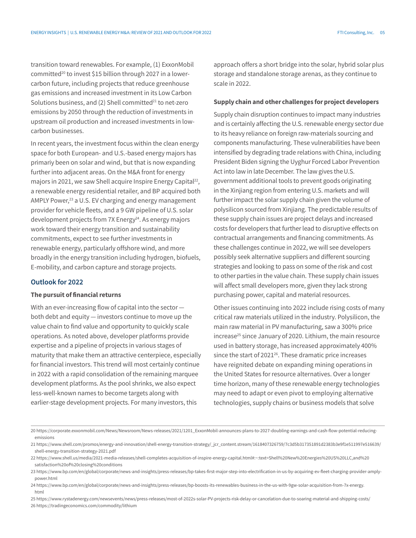transition toward renewables. For example, (1) ExxonMobil committed<sup>20</sup> to invest \$15 billion through 2027 in a lowercarbon future, including projects that reduce greenhouse gas emissions and increased investment in its Low Carbon Solutions business, and (2) Shell committed $^{21}$  to net-zero emissions by 2050 through the reduction of investments in upstream oil production and increased investments in lowcarbon businesses.

In recent years, the investment focus within the clean energy space for both European- and U.S.-based energy majors has primariy been on solar and wind, but that is now expanding further into adjacent areas. On the M&A front for energy majors in 2021, we saw Shell acquire Inspire Energy Capital<sup>22</sup>, a renewable energy residential retailer, and BP acquired both AMPLY Power, $^{23}$  a U.S. EV charging and energy management provider for vehicle fleets, and a 9 GW pipeline of U.S. solar development projects from 7X Energy<sup>24</sup>. As energy majors work toward their energy transition and sustainability commitments, expect to see further investments in renewable energy, particularly offshore wind, and more broadly in the energy transition including hydrogen, biofuels, E-mobility, and carbon capture and storage projects.

### **Outlook for 2022**

### The pursuit of financial returns

With an ever-increasing flow of capital into the sector both debt and equity — investors continue to move up the value chain to find value and opportunity to quickly scale operations. As noted above, developer platforms provide expertise and a pipeline of projects in various stages of maturity that make them an attractive centerpiece, especially for financial investors. This trend will most certainly continue in 2022 with a rapid consolidation of the remaining marquee development platforms. As the pool shrinks, we also expect less-well-known names to become targets along with earlier-stage development projects. For many investors, this

approach offers a short bridge into the solar, hybrid solar plus storage and standalone storage arenas, as they continue to scale in 2022.

#### Supply chain and other challenges for project developers

Supply chain disruption continues to impact many industries and is certainly affecting the U.S. renewable energy sector due to its heavy reliance on foreign raw-materials sourcing and components manufacturing. These vulnerabilities have been intensified by degrading trade relations with China, including President Biden signing the Uyghur Forced Labor Prevention Act into law in late December. The law gives the U.S. government additional tools to prevent goods originating in the Xinjiang region from entering U.S. markets and will further impact the solar supply chain given the volume of polysilicon sourced from Xinjiang. The predictable results of these supply chain issues are project delays and increased costs for developers that further lead to disruptive effects on contractual arrangements and financing commitments. As these challenges continue in 2022, we will see developers possibly seek alternative suppliers and different sourcing strategies and looking to pass on some of the risk and cost to other parties in the value chain. These supply chain issues will affect small developers more, given they lack strong purchasing power, capital and material resources.

Other issues continuing into 2022 include rising costs of many critical raw materials utilized in the industry. Polysilicon, the main raw material in PV manufacturing, saw a 300% price increase<sup>25</sup> since January of 2020. Lithium, the main resource used in battery storage, has increased approximately 400% since the start of 2021<sup>26</sup>. These dramatic price increases have reignited debate on expanding mining operations in the United States for resource alternatives. Over a longer time horizon, many of these renewable energy technologies may need to adapt or even pivot to employing alternative technologies, supply chains or business models that solve

<sup>20</sup> [https://corporate.exxonmobil.com/News/Newsroom/News-releases/2021/1201\\_ExxonMobil-announces-plans-to-2027-doubling-earnings-and-cash-flow-potential-reducing](https://corporate.exxonmobil.com/News/Newsroom/News-releases/2021/1201_ExxonMobil-announces-plans-to-2027-doubling-earnings-and-cash-flow-potential-reducing-emissions)[emissions](https://corporate.exxonmobil.com/News/Newsroom/News-releases/2021/1201_ExxonMobil-announces-plans-to-2027-doubling-earnings-and-cash-flow-potential-reducing-emissions)

<sup>21</sup> [https://www.shell.com/promos/energy-and-innovation/shell-energy-transition-strategy/\\_jcr\\_content.stream/1618407326759/7c3d5b317351891d2383b3e9f1e511997e516639/](https://www.shell.com/promos/energy-and-innovation/shell-energy-transition-strategy/_jcr_content.stream/1618407326759/7c3d5b317351891d2383b3e9f1e511997e516639/%20shell-energy-transition-strategy-2021.pdf) [shell-energy-transition-strategy-2021.pdf](https://www.shell.com/promos/energy-and-innovation/shell-energy-transition-strategy/_jcr_content.stream/1618407326759/7c3d5b317351891d2383b3e9f1e511997e516639/%20shell-energy-transition-strategy-2021.pdf)

<sup>22</sup> https://www.shell.us/media/2021-media-releases/shell-completes-acquisition-of-inspire-energy-capital.html#:~:text=Shell%20New%20Energies%20US%20LLC,and%20 satisfaction%20of%20closing%20conditions

<sup>23</sup> https://www.bp.com/en/global/corporate/news-and-insights/press-releases/bp-takes-first-major-step-into-electrification-in-us-by-acquiring-ev-fleet-charging-provider-amplypower.html

<sup>24</sup> https://www.bp.com/en/global/corporate/news-and-insights/press-releases/bp-boosts-its-renewables-business-in-the-us-with-9gw-solar-acquisition-from-7x-energy. html

<sup>25</sup> https://www.rystadenergy.com/newsevents/news/press-releases/most-of-2022s-solar-PV-projects-risk-delay-or-cancelation-due-to-soaring-material-and-shipping-costs/ 26 https://tradingeconomics.com/commodity/lithium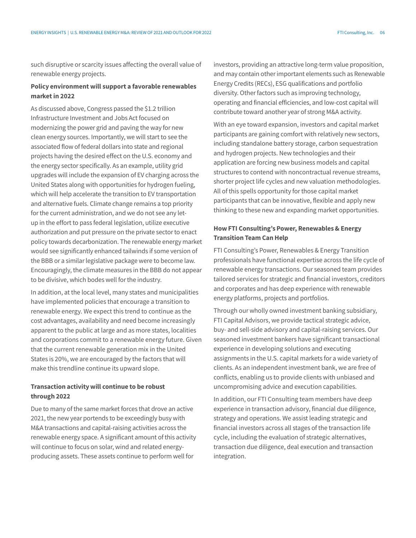such disruptive or scarcity issues affecting the overall value of renewable energy projects.

### Policy environment will support a favorable renewables market in 2022

As discussed above, Congress passed the \$1.2 trillion Infrastructure Investment and Jobs Act focused on modernizing the power grid and paving the way for new clean energy sources. Importantly, we will start to see the associated flow of federal dollars into state and regional projects having the desired effect on the U.S. economy and the energy sector specifically. As an example, utility grid upgrades will include the expansion of EV charging across the United States along with opportunities for hydrogen fueling, which will help accelerate the transition to EV transportation and alternative fuels. Climate change remains a top priority for the current administration, and we do not see any letup in the effort to pass federal legislation, utilize executive authorization and put pressure on the private sector to enact policy towards decarbonization. The renewable energy market would see significantly enhanced tailwinds if some version of the BBB or a similar legislative package were to become law. Encouragingly, the climate measures in the BBB do not appear to be divisive, which bodes well for the industry.

In addition, at the local level, many states and municipalities have implemented policies that encourage a transition to renewable energy. We expect this trend to continue as the cost advantages, availability and need become increasingly apparent to the public at large and as more states, localities and corporations commit to a renewable energy future. Given that the current renewable generation mix in the United States is 20%, we are encouraged by the factors that will make this trendline continue its upward slope.

### Transaction activity will continue to be robust through 2022

Due to many of the same market forces that drove an active 2021, the new year portends to be exceedingly busy with M&A transactions and capital-raising activities across the renewable energy space. A significant amount of this activity will continue to focus on solar, wind and related energyproducing assets. These assets continue to perform well for

investors, providing an attractive long-term value proposition, and may contain other important elements such as Renewable Energy Credits (RECs), ESG qualifications and portfolio diversity. Other factors such as improving technology, operating and financial efficiencies, and low-cost capital will contribute toward another year of strong M&A activity.

With an eye toward expansion, investors and capital market participants are gaining comfort with relatively new sectors, including standalone battery storage, carbon sequestration and hydrogen projects. New technologies and their application are forcing new business models and capital structures to contend with noncontractual revenue streams, shorter project life cycles and new valuation methodologies. All of this spells opportunity for those capital market participants that can be innovative, flexible and apply new thinking to these new and expanding market opportunities.

### How FTI Consulting's Power, Renewables & Energy Transition Team Can Help

FTI Consulting's Power, Renewables & Energy Transition professionals have functional expertise across the life cycle of renewable energy transactions. Our seasoned team provides tailored services for strategic and financial investors, creditors and corporates and has deep experience with renewable energy platforms, projects and portfolios.

Through our wholly owned investment banking subsidiary, FTI Capital Advisors, we provide tactical strategic advice, buy- and sell-side advisory and capital-raising services. Our seasoned investment bankers have significant transactional experience in developing solutions and executing assignments in the U.S. capital markets for a wide variety of clients. As an independent investment bank, we are free of conflicts, enabling us to provide clients with unbiased and uncompromising advice and execution capabilities.

In addition, our FTI Consulting team members have deep experience in transaction advisory, financial due diligence, strategy and operations. We assist leading strategic and financial investors across all stages of the transaction life cycle, including the evaluation of strategic alternatives, transaction due diligence, deal execution and transaction integration.